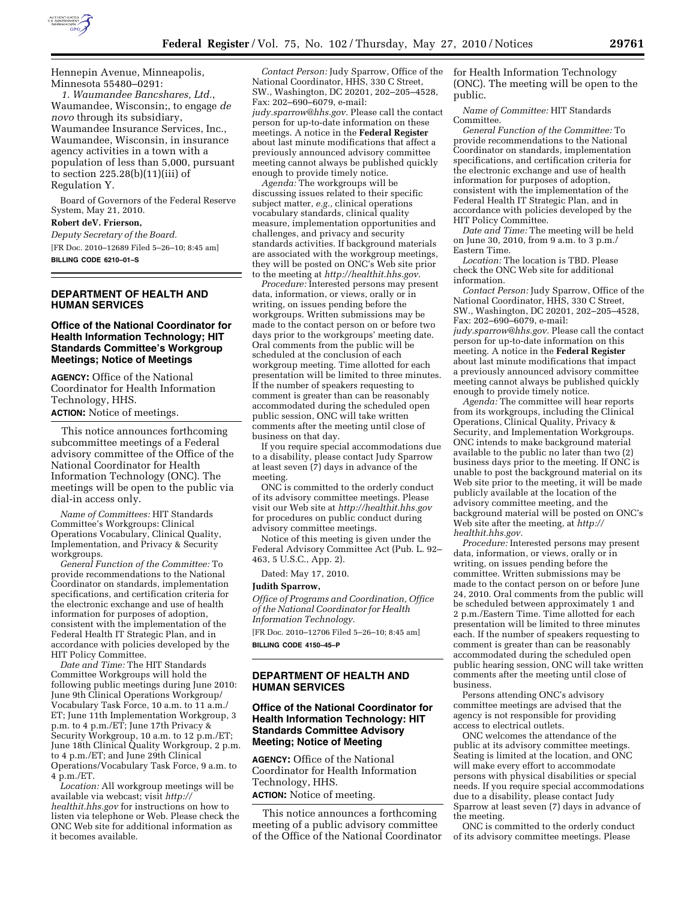

Hennepin Avenue, Minneapolis, Minnesota 55480–0291:

*1. Waumandee Bancshares, Ltd.*, Waumandee, Wisconsin;, to engage *de novo* through its subsidiary, Waumandee Insurance Services, Inc., Waumandee, Wisconsin, in insurance agency activities in a town with a population of less than 5,000, pursuant to section 225.28(b)(11)(iii) of Regulation Y.

Board of Governors of the Federal Reserve System, May 21, 2010.

# **Robert deV. Frierson,**

*Deputy Secretary of the Board.*  [FR Doc. 2010–12689 Filed 5–26–10; 8:45 am] **BILLING CODE 6210–01–S** 

# **DEPARTMENT OF HEALTH AND HUMAN SERVICES**

## **Office of the National Coordinator for Health Information Technology; HIT Standards Committee's Workgroup Meetings; Notice of Meetings**

**AGENCY:** Office of the National Coordinator for Health Information Technology, HHS.

**ACTION:** Notice of meetings.

This notice announces forthcoming subcommittee meetings of a Federal advisory committee of the Office of the National Coordinator for Health Information Technology (ONC). The meetings will be open to the public via dial-in access only.

*Name of Committees:* HIT Standards Committee's Workgroups: Clinical Operations Vocabulary, Clinical Quality, Implementation, and Privacy & Security workgroups.

*General Function of the Committee:* To provide recommendations to the National Coordinator on standards, implementation specifications, and certification criteria for the electronic exchange and use of health information for purposes of adoption, consistent with the implementation of the Federal Health IT Strategic Plan, and in accordance with policies developed by the HIT Policy Committee.

*Date and Time:* The HIT Standards Committee Workgroups will hold the following public meetings during June 2010: June 9th Clinical Operations Workgroup/ Vocabulary Task Force, 10 a.m. to 11 a.m./ ET; June 11th Implementation Workgroup, 3 p.m. to 4 p.m./ET; June 17th Privacy & Security Workgroup, 10 a.m. to 12 p.m./ET; June 18th Clinical Quality Workgroup, 2 p.m. to 4 p.m./ET; and June 29th Clinical Operations/Vocabulary Task Force, 9 a.m. to 4 p.m./ET.

*Location:* All workgroup meetings will be available via webcast; visit *http:// healthit.hhs.gov* for instructions on how to listen via telephone or Web. Please check the ONC Web site for additional information as it becomes available.

*Contact Person:* Judy Sparrow, Office of the National Coordinator, HHS, 330 C Street, SW., Washington, DC 20201, 202–205–4528, Fax: 202–690–6079, e-mail: *judy.sparrow@hhs.gov.* Please call the contact person for up-to-date information on these meetings. A notice in the **Federal Register**  about last minute modifications that affect a previously announced advisory committee meeting cannot always be published quickly enough to provide timely notice.

*Agenda:* The workgroups will be discussing issues related to their specific subject matter, *e.g.,* clinical operations vocabulary standards, clinical quality measure, implementation opportunities and challenges, and privacy and security standards activities. If background materials are associated with the workgroup meetings, they will be posted on ONC's Web site prior to the meeting at *http://healthit.hhs.gov.* 

*Procedure:* Interested persons may present data, information, or views, orally or in writing, on issues pending before the workgroups. Written submissions may be made to the contact person on or before two days prior to the workgroups' meeting date. Oral comments from the public will be scheduled at the conclusion of each workgroup meeting. Time allotted for each presentation will be limited to three minutes. If the number of speakers requesting to comment is greater than can be reasonably accommodated during the scheduled open public session, ONC will take written comments after the meeting until close of business on that day.

If you require special accommodations due to a disability, please contact Judy Sparrow at least seven (7) days in advance of the meeting.

ONC is committed to the orderly conduct of its advisory committee meetings. Please visit our Web site at *http://healthit.hhs.gov*  for procedures on public conduct during advisory committee meetings.

Notice of this meeting is given under the Federal Advisory Committee Act (Pub. L. 92– 463, 5 U.S.C., App. 2).

Dated: May 17, 2010.

#### **Judith Sparrow,**

*Office of Programs and Coordination, Office of the National Coordinator for Health Information Technology.* 

[FR Doc. 2010–12706 Filed 5–26–10; 8:45 am] **BILLING CODE 4150–45–P** 

# **DEPARTMENT OF HEALTH AND HUMAN SERVICES**

## **Office of the National Coordinator for Health Information Technology: HIT Standards Committee Advisory Meeting; Notice of Meeting**

**AGENCY:** Office of the National Coordinator for Health Information Technology, HHS.

**ACTION:** Notice of meeting.

This notice announces a forthcoming meeting of a public advisory committee of the Office of the National Coordinator for Health Information Technology (ONC). The meeting will be open to the public.

*Name of Committee:* HIT Standards Committee.

*General Function of the Committee:* To provide recommendations to the National Coordinator on standards, implementation specifications, and certification criteria for the electronic exchange and use of health information for purposes of adoption, consistent with the implementation of the Federal Health IT Strategic Plan, and in accordance with policies developed by the HIT Policy Committee.

*Date and Time:* The meeting will be held on June 30, 2010, from 9 a.m. to 3 p.m./ Eastern Time.

*Location:* The location is TBD. Please check the ONC Web site for additional information.

*Contact Person:* Judy Sparrow, Office of the National Coordinator, HHS, 330 C Street, SW., Washington, DC 20201, 202–205–4528, Fax: 202–690–6079, e-mail:

*judy.sparrow@hhs.gov.* Please call the contact person for up-to-date information on this meeting. A notice in the **Federal Register**  about last minute modifications that impact a previously announced advisory committee meeting cannot always be published quickly enough to provide timely notice.

*Agenda:* The committee will hear reports from its workgroups, including the Clinical Operations, Clinical Quality, Privacy & Security, and Implementation Workgroups. ONC intends to make background material available to the public no later than two (2) business days prior to the meeting. If ONC is unable to post the background material on its Web site prior to the meeting, it will be made publicly available at the location of the advisory committee meeting, and the background material will be posted on ONC's Web site after the meeting, at *http:// healthit.hhs.gov.* 

*Procedure:* Interested persons may present data, information, or views, orally or in writing, on issues pending before the committee. Written submissions may be made to the contact person on or before June 24, 2010. Oral comments from the public will be scheduled between approximately 1 and 2 p.m./Eastern Time. Time allotted for each presentation will be limited to three minutes each. If the number of speakers requesting to comment is greater than can be reasonably accommodated during the scheduled open public hearing session, ONC will take written comments after the meeting until close of business.

Persons attending ONC's advisory committee meetings are advised that the agency is not responsible for providing access to electrical outlets.

ONC welcomes the attendance of the public at its advisory committee meetings. Seating is limited at the location, and ONC will make every effort to accommodate persons with physical disabilities or special needs. If you require special accommodations due to a disability, please contact Judy Sparrow at least seven (7) days in advance of the meeting.

ONC is committed to the orderly conduct of its advisory committee meetings. Please